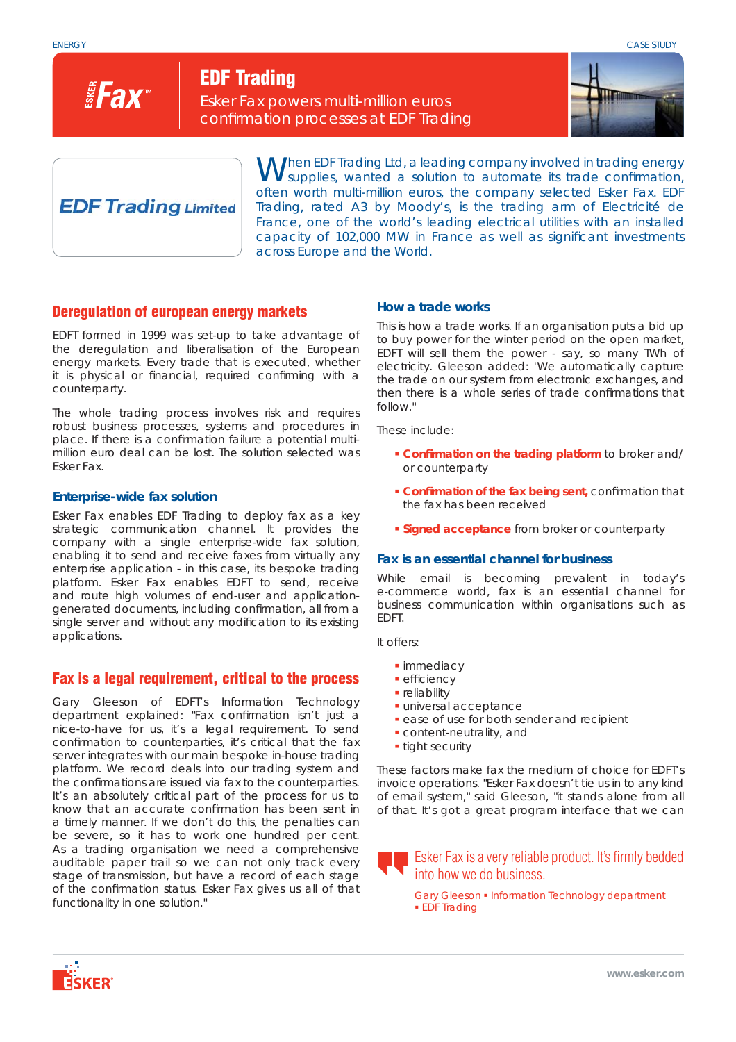

**EDF Trading**

Esker Fax powers multi-million euros confirmation processes at EDF Trading



# **EDF Trading Limited**

When EDF Trading Ltd, a leading company involved in trading energy supplies, wanted a solution to automate its trade confirmation, often worth multi-million euros, the company selected Esker Fax. EDF Trading, rated A3 by Moody's, is the trading arm of Electricité de France, one of the world's leading electrical utilities with an installed capacity of 102,000 MW in France as well as significant investments across Europe and the World.

# **Deregulation of european energy markets**

EDFT formed in 1999 was set-up to take advantage of the deregulation and liberalisation of the European energy markets. Every trade that is executed, whether it is physical or financial, required confirming with a counterparty.

The whole trading process involves risk and requires robust business processes, systems and procedures in place. If there is a confirmation failure a potential multimillion euro deal can be lost. The solution selected was Esker Fax.

### **Enterprise-wide fax solution**

Esker Fax enables EDF Trading to deploy fax as a key strategic communication channel. It provides the company with a single enterprise-wide fax solution, enabling it to send and receive faxes from virtually any enterprise application - in this case, its bespoke trading platform. Esker Fax enables EDFT to send, receive and route high volumes of end-user and applicationgenerated documents, including confirmation, all from a single server and without any modification to its existing applications.

## **Fax is a legal requirement, critical to the process**

Gary Gleeson of EDFT's Information Technology department explained: "Fax confirmation isn't just a *nice-to-have for us, it's a legal requirement. To send confi rmation to counterparties, it's critical that the fax server integrates with our main bespoke in-house trading platform. We record deals into our trading system and the confi rmations are issued via fax to the counterparties. It's an absolutely critical part of the process for us to know that an accurate confi rmation has been sent in a timely manner. If we don't do this, the penalties can be severe, so it has to work one hundred per cent. As a trading organisation we need a comprehensive auditable paper trail so we can not only track every stage of transmission, but have a record of each stage of the confi rmation status. Esker Fax gives us all of that functionality in one solution."*

### **How a trade works**

This is how a trade works. If an organisation puts a bid up to buy power for the winter period on the open market, EDFT will sell them the power - say, so many TWh of electricity. Gleeson added: *"We automatically capture the trade on our system from electronic exchanges, and then there is a whole series of trade confirmations that follow."* 

These include:

- **Confi rmation on the trading platform** to broker and/ or counterparty
- **Confirmation of the fax being sent,** confirmation that the fax has been received
- **Signed acceptance** from broker or counterparty

#### **Fax is an essential channel for business**

While email is becoming prevalent in today's e-commerce world, fax is an essential channel for business communication within organisations such as EDFT.

It offers:

- **·** immediacy
- $\blacksquare$  efficiency
- **·** reliability
- universal acceptance
- **ease of use for both sender and recipient**
- content-neutrality, and
- **tight security**

These factors make fax the medium of choice for EDFT's invoice operations. *"Esker Fax doesn't tie us in to any kind of email system,"* said Gleeson, *"it stands alone from all of that. It's got a great program interface that we can* 

Esker Fax is a very reliable product. It's firmly bedded into how we do business.

Gary Gleeson . Information Technology department **EDF** Trading